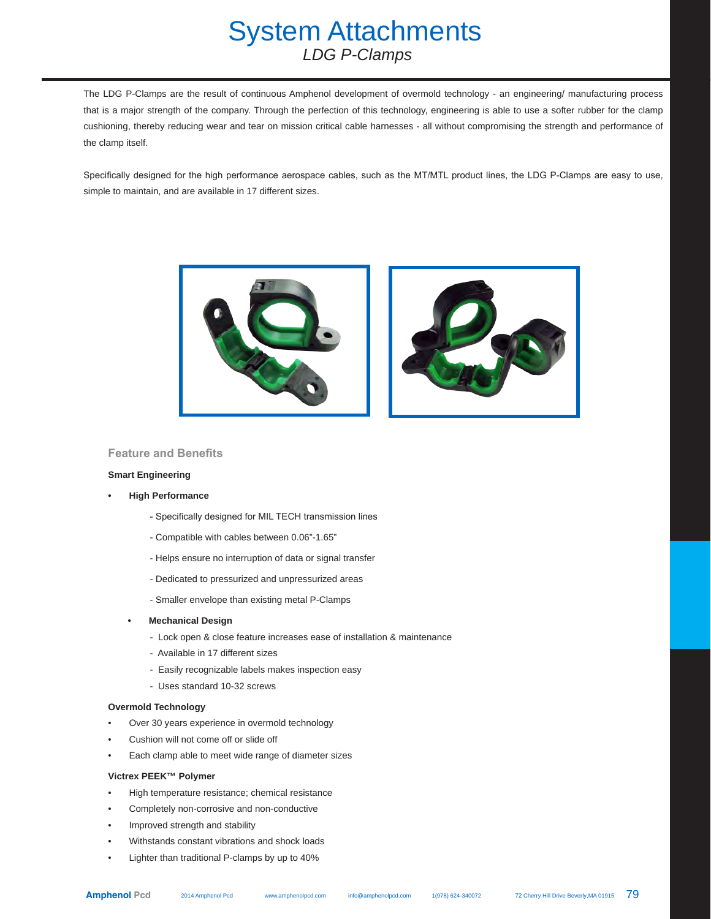## System Attachments  *LDG P-Clamps*

The LDG P-Clamps are the result of continuous Amphenol development of overmold technology - an engineering/ manufacturing process that is a major strength of the company. Through the perfection of this technology, engineering is able to use a softer rubber for the clamp cushioning, thereby reducing wear and tear on mission critical cable harnesses - all without compromising the strength and performance of the clamp itself.

Specifically designed for the high performance aerospace cables, such as the MT/MTL product lines, the LDG P-Clamps are easy to use, simple to maintain, and are available in 17 different sizes.



### **Feature and Benefits**

#### **Smart Engineering**

- **• High Performance**
	- Specifically designed for MIL TECH transmission lines
	- Compatible with cables between 0.06"-1.65"
	- Helps ensure no interruption of data or signal transfer
	- Dedicated to pressurized and unpressurized areas
	- Smaller envelope than existing metal P-Clamps
	- **• Mechanical Design**
		- Lock open & close feature increases ease of installation & maintenance
		- Available in 17 different sizes
		- Easily recognizable labels makes inspection easy
		- Uses standard 10-32 screws

#### **Overmold Technology**

- Over 30 years experience in overmold technology
- Cushion will not come off or slide off
- Each clamp able to meet wide range of diameter sizes

#### **Victrex PEEK™ Polymer**

- High temperature resistance; chemical resistance
- Completely non-corrosive and non-conductive
- Improved strength and stability
- Withstands constant vibrations and shock loads
- Lighter than traditional P-clamps by up to 40%